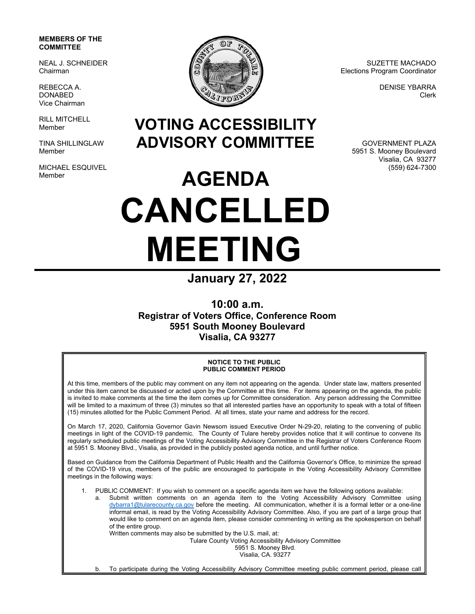## **MEMBERS OF THE COMMITTEE**

NEAL J. SCHNEIDER Chairman

REBECCA A. DONABED Vice Chairman

RILL MITCHELL Member

TINA SHILLINGLAW Member

MICHAEL ESQUIVEL Member



SUZETTE MACHADO Elections Program Coordinator

> DENISE YBARRA Clerk

**VOTING ACCESSIBILITY ADVISORY COMMITTEE** 

GOVERNMENT PLAZA 5951 S. Mooney Boulevard Visalia, CA 93277 (559) 624-7300

## **AGENDA CANCELLED MEETING**

**January 27, 2022** 

**10:00 a.m. Registrar of Voters Office, Conference Room 5951 South Mooney Boulevard Visalia, CA 93277** 

## **NOTICE TO THE PUBLIC PUBLIC COMMENT PERIOD**

At this time, members of the public may comment on any item not appearing on the agenda. Under state law, matters presented under this item cannot be discussed or acted upon by the Committee at this time. For items appearing on the agenda, the public is invited to make comments at the time the item comes up for Committee consideration. Any person addressing the Committee will be limited to a maximum of three (3) minutes so that all interested parties have an opportunity to speak with a total of fifteen (15) minutes allotted for the Public Comment Period. At all times, state your name and address for the record.

On March 17, 2020, California Governor Gavin Newsom issued Executive Order N-29-20, relating to the convening of public meetings in light of the COVID-19 pandemic. The County of Tulare hereby provides notice that it will continue to convene its regularly scheduled public meetings of the Voting Accessibility Advisory Committee in the Registrar of Voters Conference Room at 5951 S. Mooney Blvd., Visalia, as provided in the publicly posted agenda notice, and until further notice.

Based on Guidance from the California Department of Public Health and the California Governor's Office, to minimize the spread of the COVID-19 virus, members of the public are encouraged to participate in the Voting Accessibility Advisory Committee meetings in the following ways:

- 1. PUBLIC COMMENT: If you wish to comment on a specific agenda item we have the following options available:
	- a. Submit written comments on an agenda item to the Voting Accessibility Advisory Committee using dybarra1@tularecounty.ca.gov before the meeting. All communication, whether it is a formal letter or a one-line informal email, is read by the Voting Accessibility Advisory Committee. Also, if you are part of a large group that would like to comment on an agenda item, please consider commenting in writing as the spokesperson on behalf of the entire group.

Written comments may also be submitted by the U.S. mail, at:

Tulare County Voting Accessibility Advisory Committee

5951 S. Mooney Blvd. Visalia, CA. 93277

b. To participate during the Voting Accessibility Advisory Committee meeting public comment period, please call